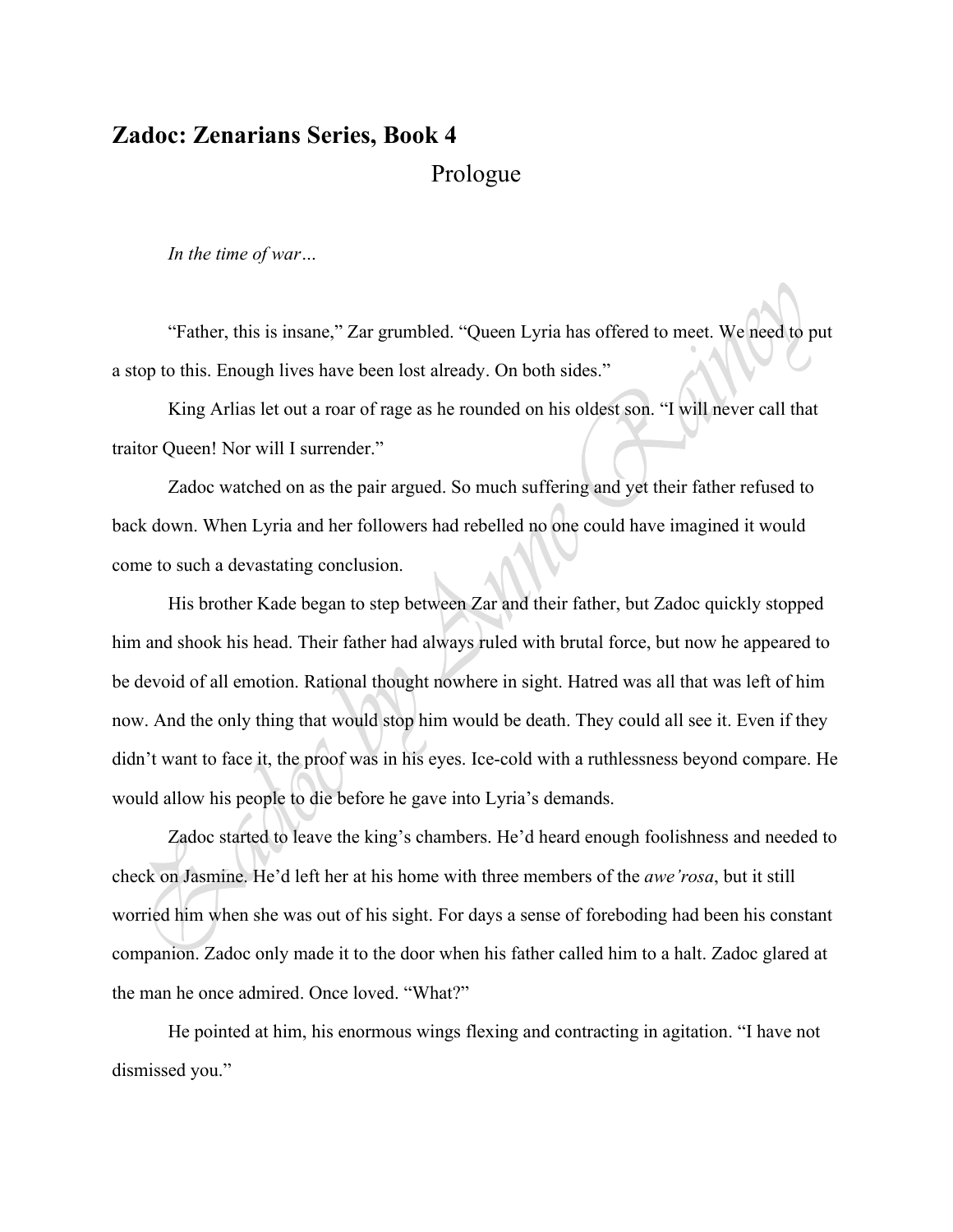## **Zadoc: Zenarians Series, Book 4** Prologue

*In the time of war…*

"Father, this is insane," Zar grumbled. "Queen Lyria has offered to meet. We need to put a stop to this. Enough lives have been lost already. On both sides."

King Arlias let out a roar of rage as he rounded on his oldest son. "I will never call that traitor Queen! Nor will I surrender."

Zadoc watched on as the pair argued. So much suffering and yet their father refused to back down. When Lyria and her followers had rebelled no one could have imagined it would come to such a devastating conclusion.

His brother Kade began to step between Zar and their father, but Zadoc quickly stopped him and shook his head. Their father had always ruled with brutal force, but now he appeared to be devoid of all emotion. Rational thought nowhere in sight. Hatred was all that was left of him now. And the only thing that would stop him would be death. They could all see it. Even if they didn't want to face it, the proof was in his eyes. Ice-cold with a ruthlessness beyond compare. He would allow his people to die before he gave into Lyria's demands.

Zadoc started to leave the king's chambers. He'd heard enough foolishness and needed to check on Jasmine. He'd left her at his home with three members of the *awe'rosa*, but it still worried him when she was out of his sight. For days a sense of foreboding had been his constant companion. Zadoc only made it to the door when his father called him to a halt. Zadoc glared at the man he once admired. Once loved. "What?"

He pointed at him, his enormous wings flexing and contracting in agitation. "I have not dismissed you."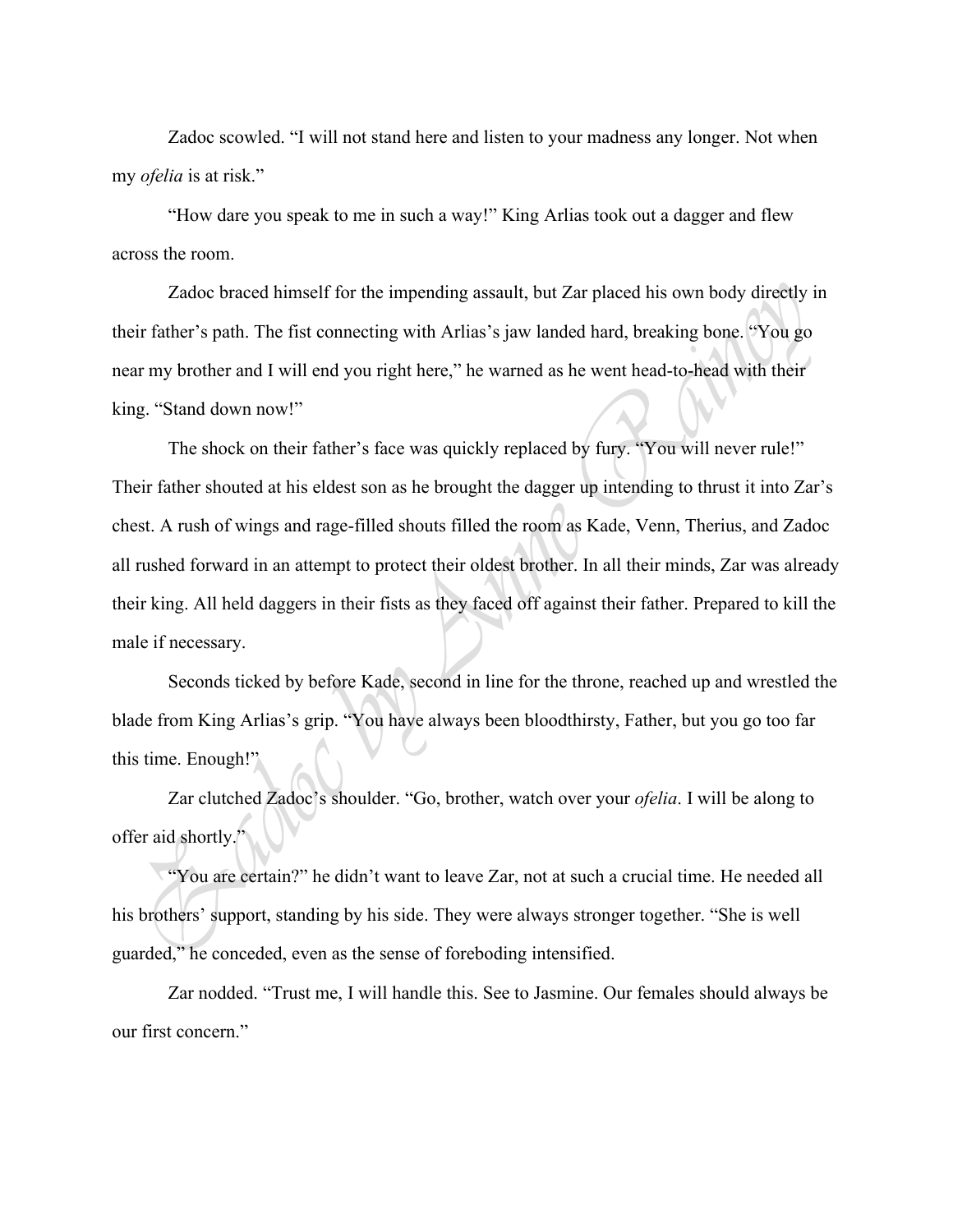Zadoc scowled. "I will not stand here and listen to your madness any longer. Not when my *ofelia* is at risk."

"How dare you speak to me in such a way!" King Arlias took out a dagger and flew across the room.

Zadoc braced himself for the impending assault, but Zar placed his own body directly in their father's path. The fist connecting with Arlias's jaw landed hard, breaking bone. "You go near my brother and I will end you right here," he warned as he went head-to-head with their king. "Stand down now!"

The shock on their father's face was quickly replaced by fury. "You will never rule!" Their father shouted at his eldest son as he brought the dagger up intending to thrust it into Zar's chest. A rush of wings and rage-filled shouts filled the room as Kade, Venn, Therius, and Zadoc all rushed forward in an attempt to protect their oldest brother. In all their minds, Zar was already their king. All held daggers in their fists as they faced off against their father. Prepared to kill the male if necessary.

Seconds ticked by before Kade, second in line for the throne, reached up and wrestled the blade from King Arlias's grip. "You have always been bloodthirsty, Father, but you go too far this time. Enough!"

Zar clutched Zadoc's shoulder. "Go, brother, watch over your *ofelia*. I will be along to offer aid shortly."

"You are certain?" he didn't want to leave Zar, not at such a crucial time. He needed all his brothers' support, standing by his side. They were always stronger together. "She is well guarded," he conceded, even as the sense of foreboding intensified.

Zar nodded. "Trust me, I will handle this. See to Jasmine. Our females should always be our first concern."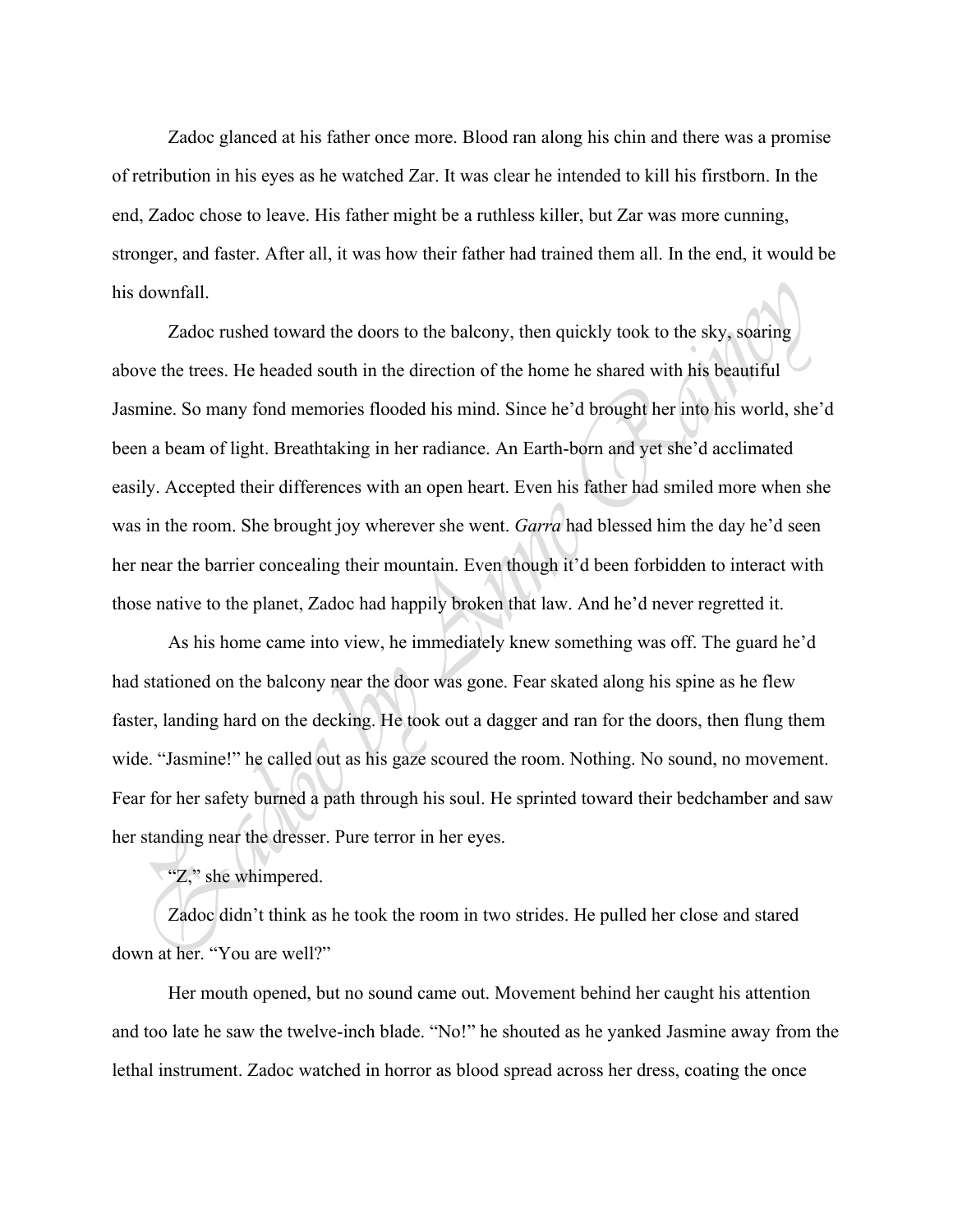Zadoc glanced at his father once more. Blood ran along his chin and there was a promise of retribution in his eyes as he watched Zar. It was clear he intended to kill his firstborn. In the end, Zadoc chose to leave. His father might be a ruthless killer, but Zar was more cunning, stronger, and faster. After all, it was how their father had trained them all. In the end, it would be his downfall.

Zadoc rushed toward the doors to the balcony, then quickly took to the sky, soaring above the trees. He headed south in the direction of the home he shared with his beautiful Jasmine. So many fond memories flooded his mind. Since he'd brought her into his world, she'd been a beam of light. Breathtaking in her radiance. An Earth-born and yet she'd acclimated easily. Accepted their differences with an open heart. Even his father had smiled more when she was in the room. She brought joy wherever she went. *Garra* had blessed him the day he'd seen her near the barrier concealing their mountain. Even though it'd been forbidden to interact with those native to the planet, Zadoc had happily broken that law. And he'd never regretted it.

As his home came into view, he immediately knew something was off. The guard he'd had stationed on the balcony near the door was gone. Fear skated along his spine as he flew faster, landing hard on the decking. He took out a dagger and ran for the doors, then flung them wide. "Jasmine!" he called out as his gaze scoured the room. Nothing. No sound, no movement. Fear for her safety burned a path through his soul. He sprinted toward their bedchamber and saw her standing near the dresser. Pure terror in her eyes.

"Z," she whimpered.

Zadoc didn't think as he took the room in two strides. He pulled her close and stared down at her. "You are well?"

Her mouth opened, but no sound came out. Movement behind her caught his attention and too late he saw the twelve-inch blade. "No!" he shouted as he yanked Jasmine away from the lethal instrument. Zadoc watched in horror as blood spread across her dress, coating the once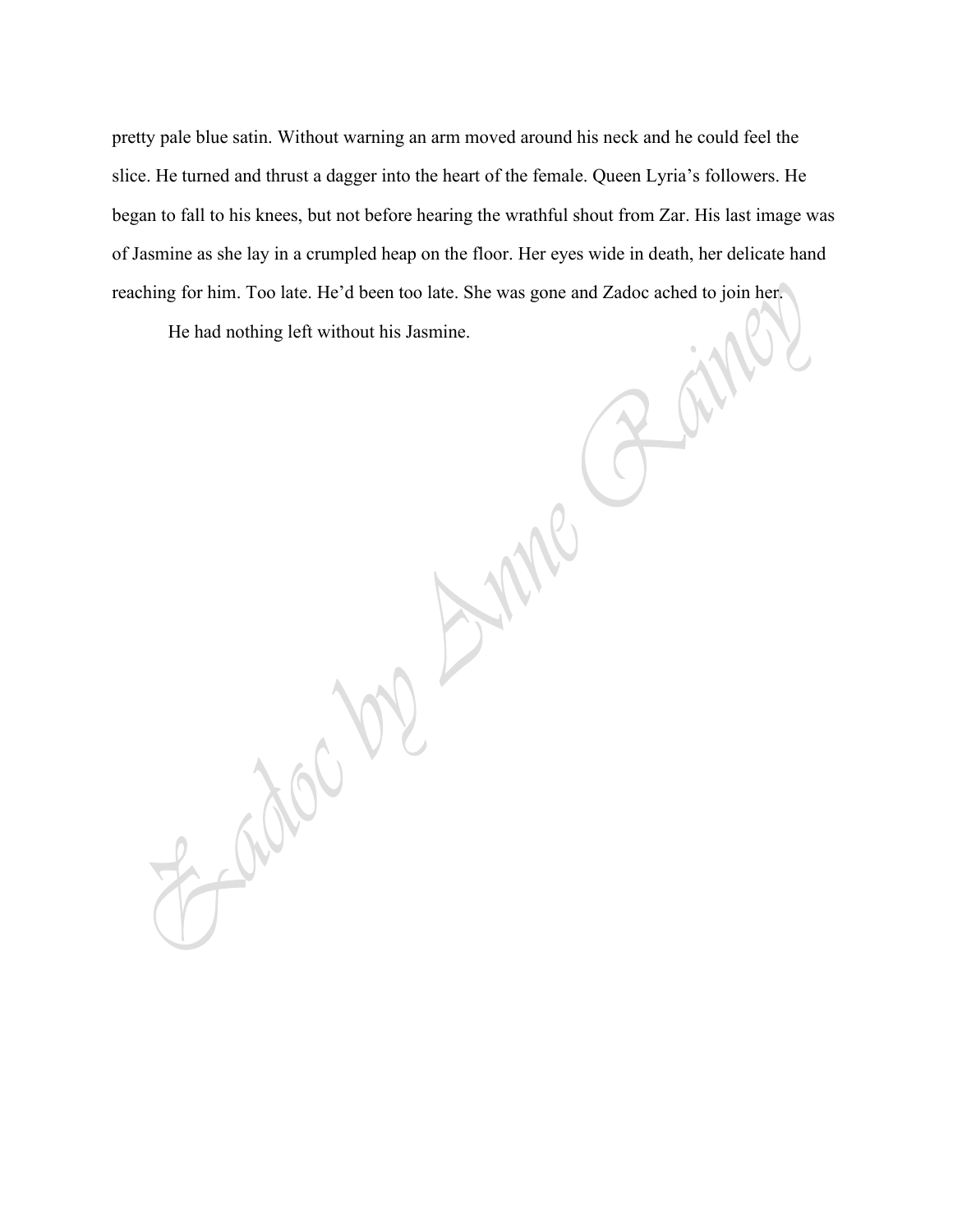pretty pale blue satin. Without warning an arm moved around his neck and he could feel the slice. He turned and thrust a dagger into the heart of the female. Queen Lyria's followers. He began to fall to his knees, but not before hearing the wrathful shout from Zar. His last image was of Jasmine as she lay in a crumpled heap on the floor. Her eyes wide in death, her delicate hand reaching for him. Too late. He'd been too late. She was gone and Zadoc ached to join her.

He had nothing left without his Jasmine.

Radon 100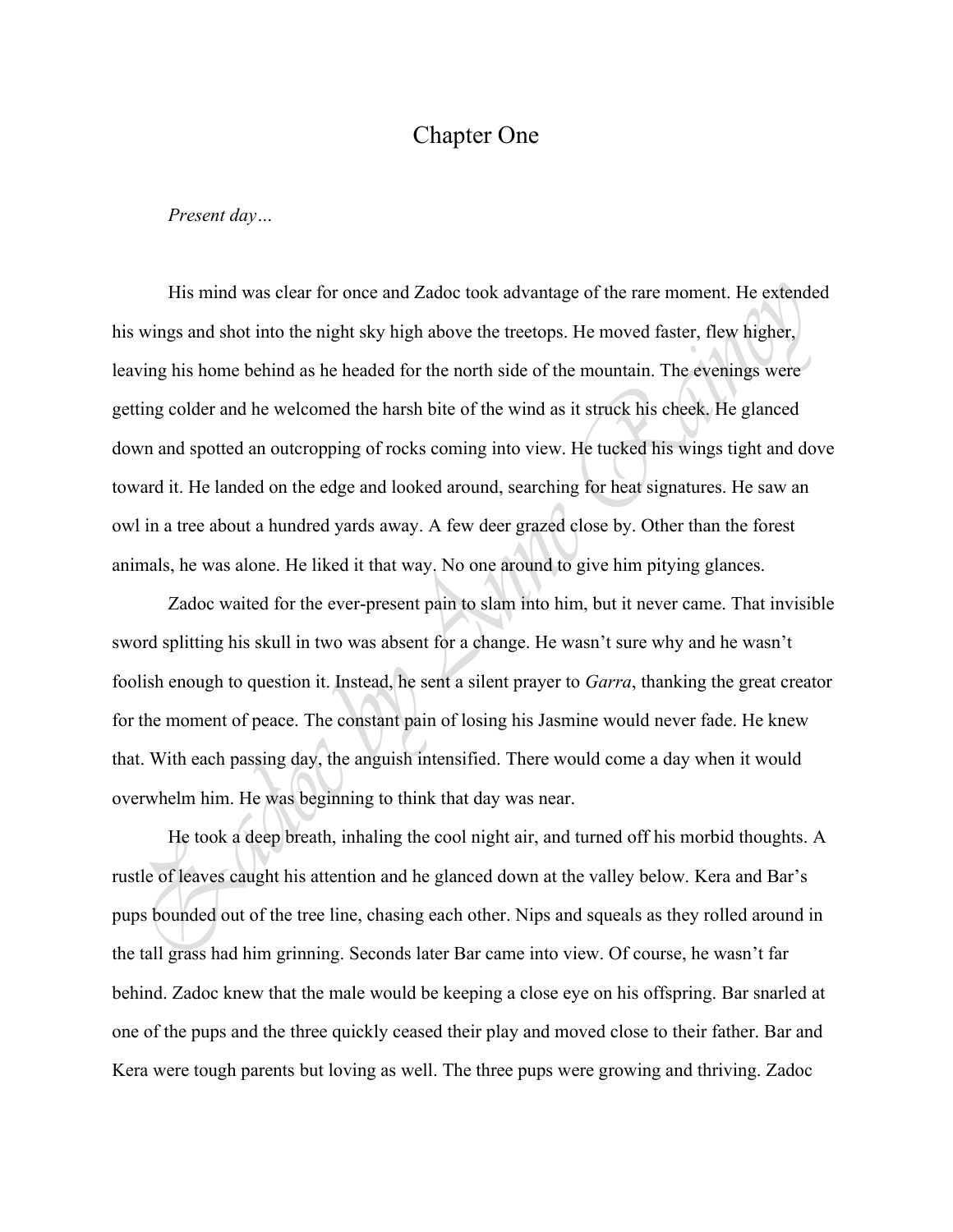## Chapter One

*Present day…*

His mind was clear for once and Zadoc took advantage of the rare moment. He extended his wings and shot into the night sky high above the treetops. He moved faster, flew higher, leaving his home behind as he headed for the north side of the mountain. The evenings were getting colder and he welcomed the harsh bite of the wind as it struck his cheek. He glanced down and spotted an outcropping of rocks coming into view. He tucked his wings tight and dove toward it. He landed on the edge and looked around, searching for heat signatures. He saw an owl in a tree about a hundred yards away. A few deer grazed close by. Other than the forest animals, he was alone. He liked it that way. No one around to give him pitying glances.

Zadoc waited for the ever-present pain to slam into him, but it never came. That invisible sword splitting his skull in two was absent for a change. He wasn't sure why and he wasn't foolish enough to question it. Instead, he sent a silent prayer to *Garra*, thanking the great creator for the moment of peace. The constant pain of losing his Jasmine would never fade. He knew that. With each passing day, the anguish intensified. There would come a day when it would overwhelm him. He was beginning to think that day was near.

He took a deep breath, inhaling the cool night air, and turned off his morbid thoughts. A rustle of leaves caught his attention and he glanced down at the valley below. Kera and Bar's pups bounded out of the tree line, chasing each other. Nips and squeals as they rolled around in the tall grass had him grinning. Seconds later Bar came into view. Of course, he wasn't far behind. Zadoc knew that the male would be keeping a close eye on his offspring. Bar snarled at one of the pups and the three quickly ceased their play and moved close to their father. Bar and Kera were tough parents but loving as well. The three pups were growing and thriving. Zadoc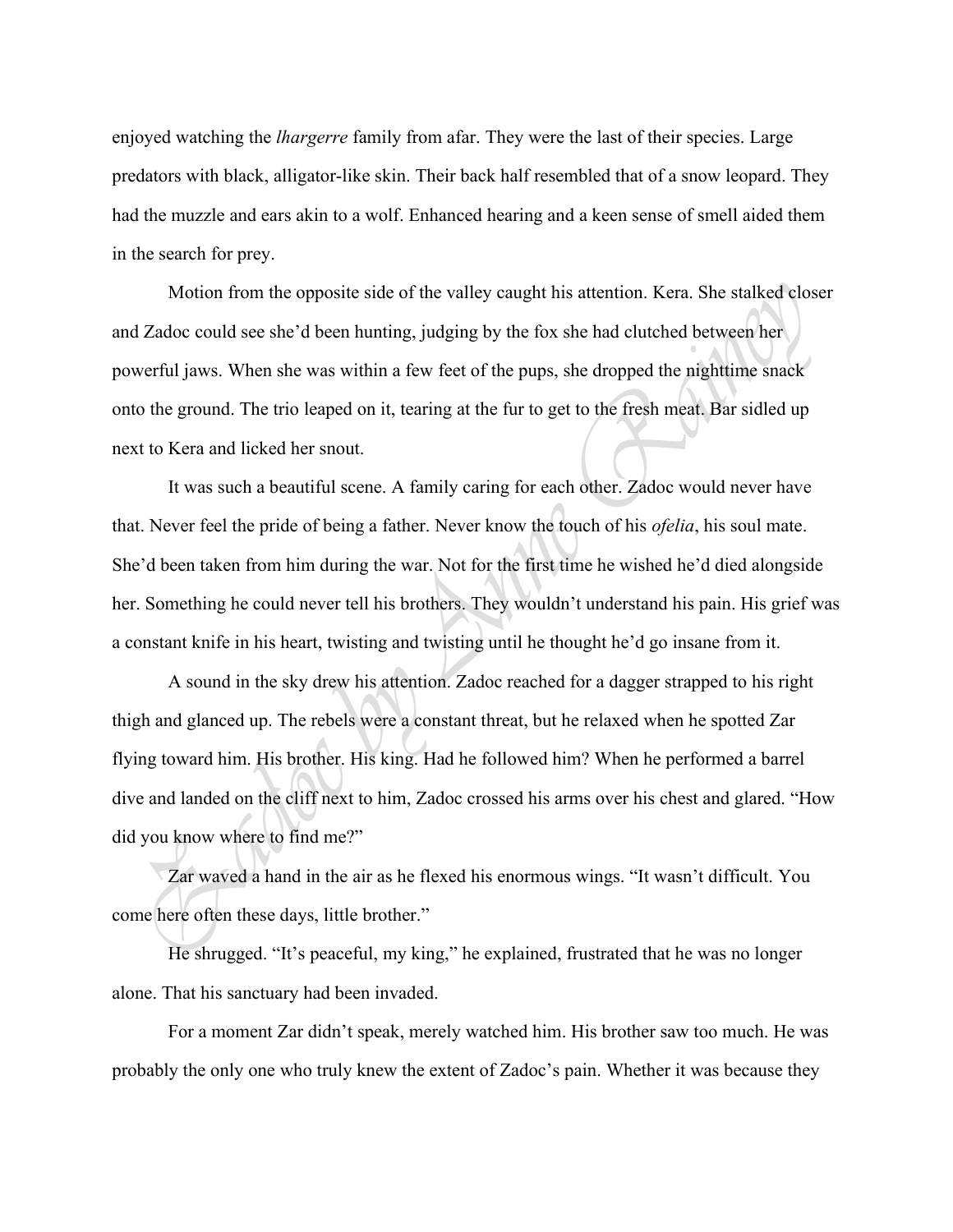enjoyed watching the *lhargerre* family from afar. They were the last of their species. Large predators with black, alligator-like skin. Their back half resembled that of a snow leopard. They had the muzzle and ears akin to a wolf. Enhanced hearing and a keen sense of smell aided them in the search for prey.

Motion from the opposite side of the valley caught his attention. Kera. She stalked closer and Zadoc could see she'd been hunting, judging by the fox she had clutched between her powerful jaws. When she was within a few feet of the pups, she dropped the nighttime snack onto the ground. The trio leaped on it, tearing at the fur to get to the fresh meat. Bar sidled up next to Kera and licked her snout.

It was such a beautiful scene. A family caring for each other. Zadoc would never have that. Never feel the pride of being a father. Never know the touch of his *ofelia*, his soul mate. She'd been taken from him during the war. Not for the first time he wished he'd died alongside her. Something he could never tell his brothers. They wouldn't understand his pain. His grief was a constant knife in his heart, twisting and twisting until he thought he'd go insane from it.

A sound in the sky drew his attention. Zadoc reached for a dagger strapped to his right thigh and glanced up. The rebels were a constant threat, but he relaxed when he spotted Zar flying toward him. His brother. His king. Had he followed him? When he performed a barrel dive and landed on the cliff next to him, Zadoc crossed his arms over his chest and glared. "How did you know where to find me?"

Zar waved a hand in the air as he flexed his enormous wings. "It wasn't difficult. You come here often these days, little brother."

He shrugged. "It's peaceful, my king," he explained, frustrated that he was no longer alone. That his sanctuary had been invaded.

For a moment Zar didn't speak, merely watched him. His brother saw too much. He was probably the only one who truly knew the extent of Zadoc's pain. Whether it was because they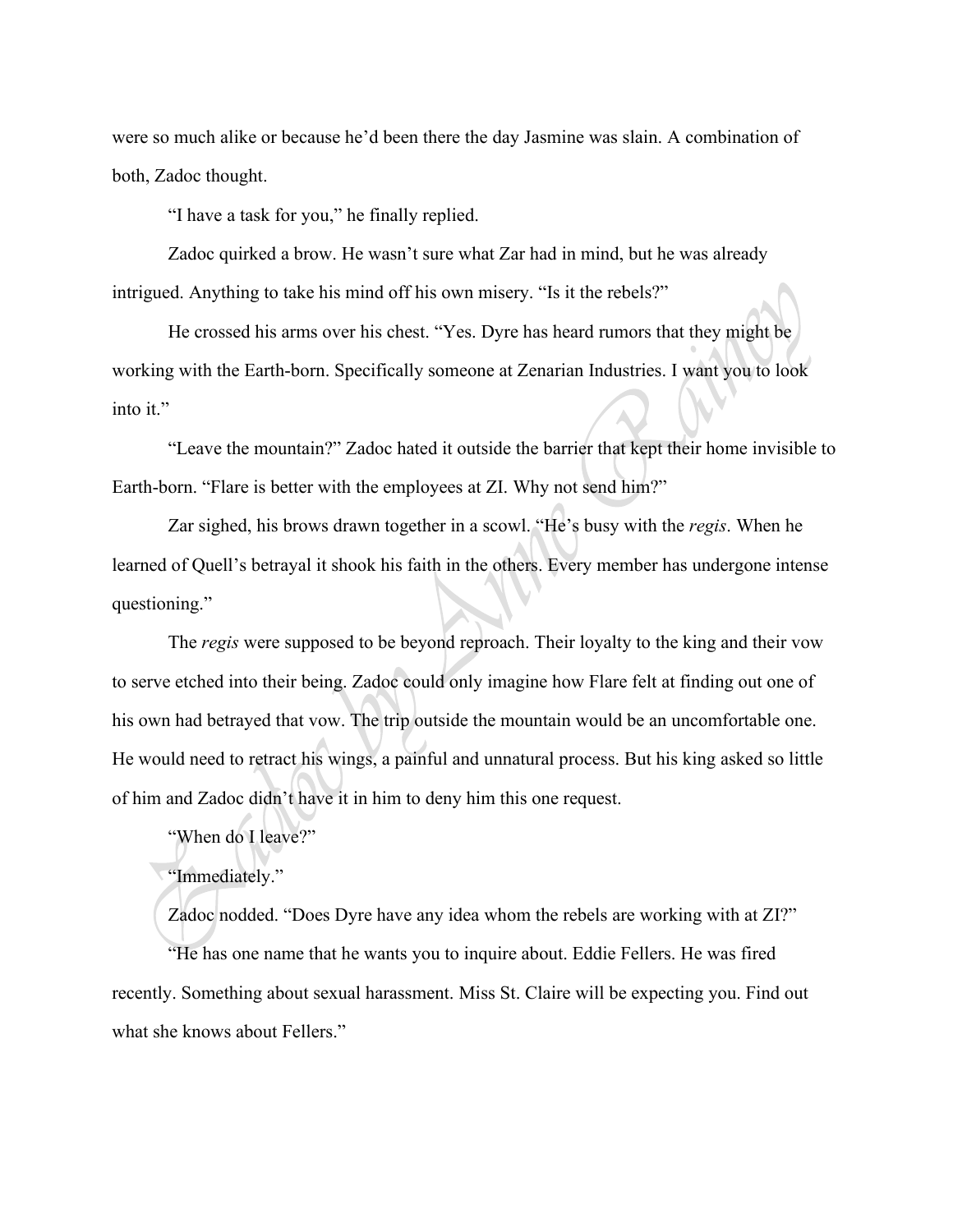were so much alike or because he'd been there the day Jasmine was slain. A combination of both, Zadoc thought.

"I have a task for you," he finally replied.

Zadoc quirked a brow. He wasn't sure what Zar had in mind, but he was already intrigued. Anything to take his mind off his own misery. "Is it the rebels?"

He crossed his arms over his chest. "Yes. Dyre has heard rumors that they might be working with the Earth-born. Specifically someone at Zenarian Industries. I want you to look into it."

"Leave the mountain?" Zadoc hated it outside the barrier that kept their home invisible to Earth-born. "Flare is better with the employees at ZI. Why not send him?"

Zar sighed, his brows drawn together in a scowl. "He's busy with the *regis*. When he learned of Quell's betrayal it shook his faith in the others. Every member has undergone intense questioning."

The *regis* were supposed to be beyond reproach. Their loyalty to the king and their vow to serve etched into their being. Zadoc could only imagine how Flare felt at finding out one of his own had betrayed that vow. The trip outside the mountain would be an uncomfortable one. He would need to retract his wings, a painful and unnatural process. But his king asked so little of him and Zadoc didn't have it in him to deny him this one request.

"When do I leave?"

## "Immediately."

Zadoc nodded. "Does Dyre have any idea whom the rebels are working with at ZI?" "He has one name that he wants you to inquire about. Eddie Fellers. He was fired recently. Something about sexual harassment. Miss St. Claire will be expecting you. Find out what she knows about Fellers."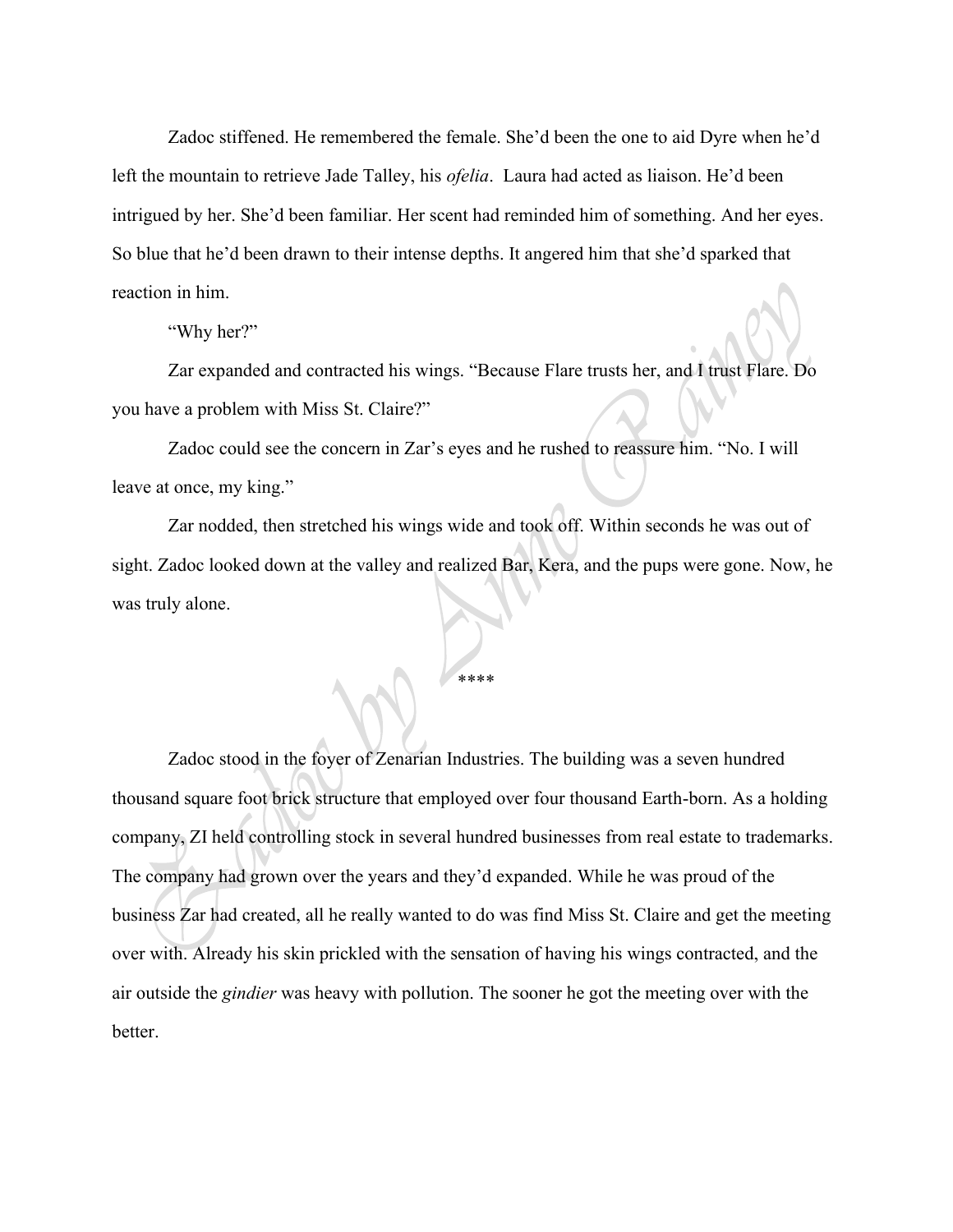Zadoc stiffened. He remembered the female. She'd been the one to aid Dyre when he'd left the mountain to retrieve Jade Talley, his *ofelia*. Laura had acted as liaison. He'd been intrigued by her. She'd been familiar. Her scent had reminded him of something. And her eyes. So blue that he'd been drawn to their intense depths. It angered him that she'd sparked that reaction in him.

"Why her?"

Zar expanded and contracted his wings. "Because Flare trusts her, and I trust Flare. Do you have a problem with Miss St. Claire?"

Zadoc could see the concern in Zar's eyes and he rushed to reassure him. "No. I will leave at once, my king."

Zar nodded, then stretched his wings wide and took off. Within seconds he was out of sight. Zadoc looked down at the valley and realized Bar, Kera, and the pups were gone. Now, he was truly alone.

\*\*\*\*

Zadoc stood in the foyer of Zenarian Industries. The building was a seven hundred thousand square foot brick structure that employed over four thousand Earth-born. As a holding company, ZI held controlling stock in several hundred businesses from real estate to trademarks. The company had grown over the years and they'd expanded. While he was proud of the business Zar had created, all he really wanted to do was find Miss St. Claire and get the meeting over with. Already his skin prickled with the sensation of having his wings contracted, and the air outside the *gindier* was heavy with pollution. The sooner he got the meeting over with the better.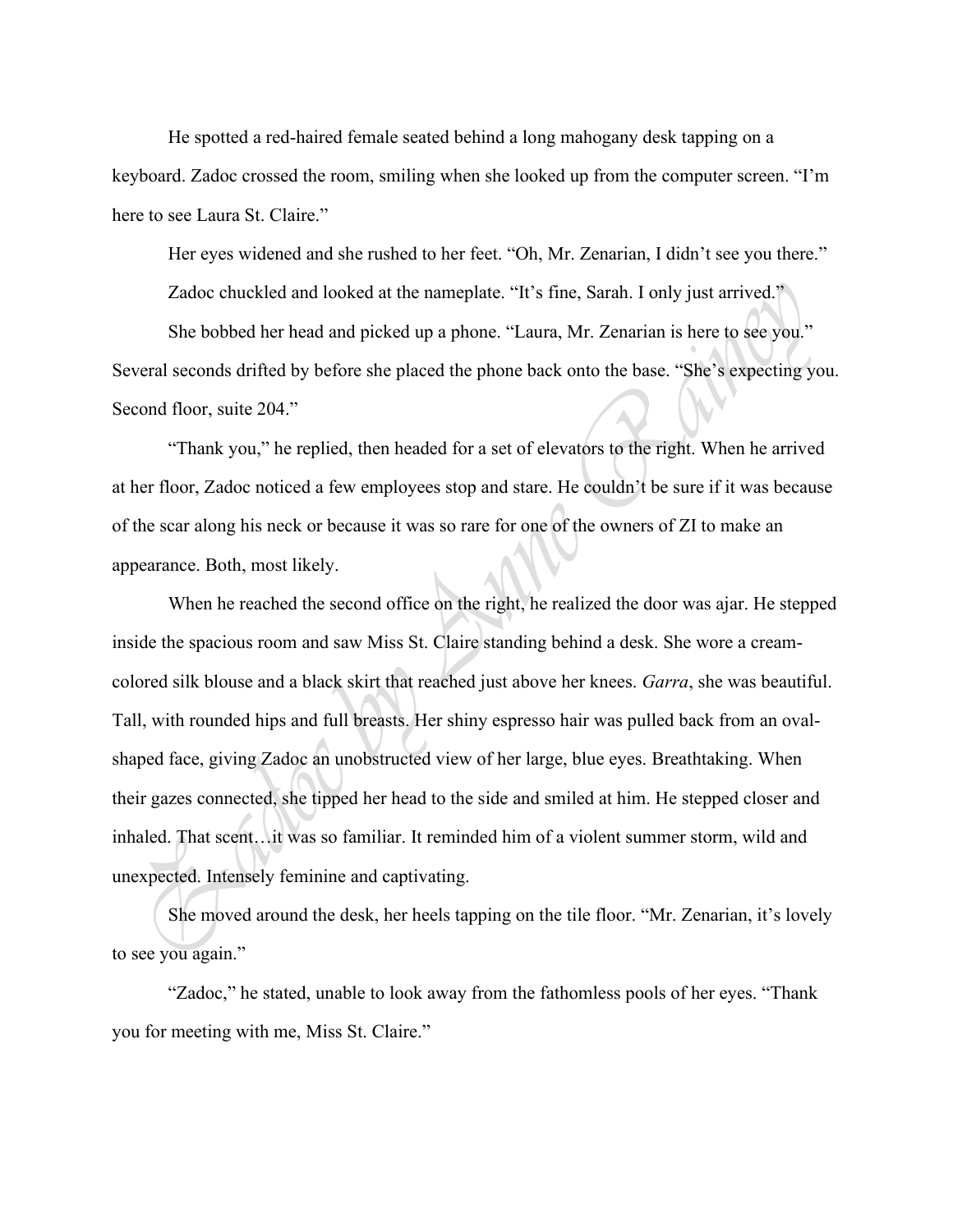He spotted a red-haired female seated behind a long mahogany desk tapping on a keyboard. Zadoc crossed the room, smiling when she looked up from the computer screen. "I'm here to see Laura St. Claire."

Her eyes widened and she rushed to her feet. "Oh, Mr. Zenarian, I didn't see you there."

Zadoc chuckled and looked at the nameplate. "It's fine, Sarah. I only just arrived."

She bobbed her head and picked up a phone. "Laura, Mr. Zenarian is here to see you." Several seconds drifted by before she placed the phone back onto the base. "She's expecting you. Second floor, suite 204."

"Thank you," he replied, then headed for a set of elevators to the right. When he arrived at her floor, Zadoc noticed a few employees stop and stare. He couldn't be sure if it was because of the scar along his neck or because it was so rare for one of the owners of ZI to make an appearance. Both, most likely.

When he reached the second office on the right, he realized the door was ajar. He stepped inside the spacious room and saw Miss St. Claire standing behind a desk. She wore a creamcolored silk blouse and a black skirt that reached just above her knees. *Garra*, she was beautiful. Tall, with rounded hips and full breasts. Her shiny espresso hair was pulled back from an ovalshaped face, giving Zadoc an unobstructed view of her large, blue eyes. Breathtaking. When their gazes connected, she tipped her head to the side and smiled at him. He stepped closer and inhaled. That scent…it was so familiar. It reminded him of a violent summer storm, wild and unexpected. Intensely feminine and captivating.

She moved around the desk, her heels tapping on the tile floor. "Mr. Zenarian, it's lovely to see you again."

"Zadoc," he stated, unable to look away from the fathomless pools of her eyes. "Thank you for meeting with me, Miss St. Claire."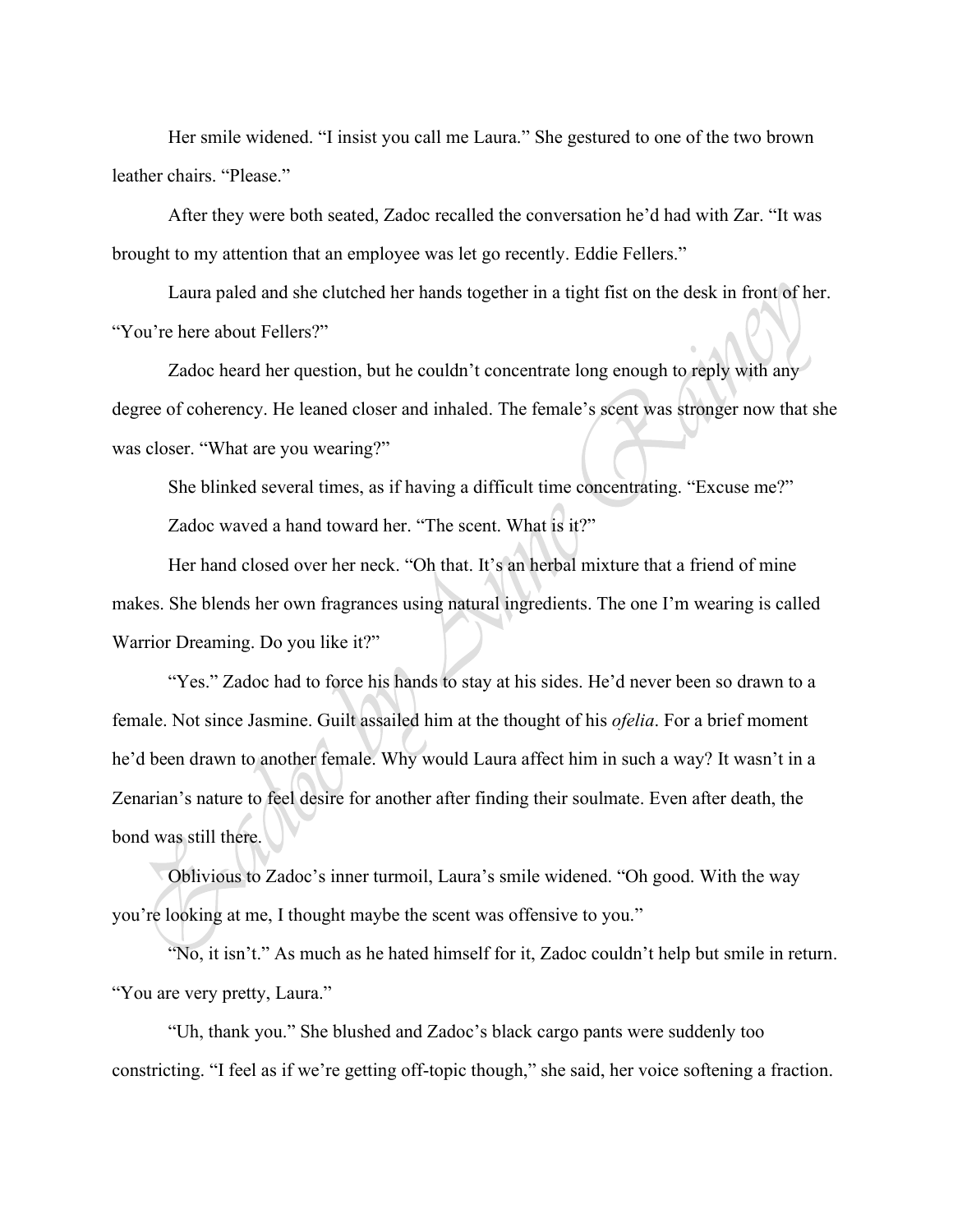Her smile widened. "I insist you call me Laura." She gestured to one of the two brown leather chairs. "Please."

After they were both seated, Zadoc recalled the conversation he'd had with Zar. "It was brought to my attention that an employee was let go recently. Eddie Fellers."

Laura paled and she clutched her hands together in a tight fist on the desk in front of her. "You're here about Fellers?"

Zadoc heard her question, but he couldn't concentrate long enough to reply with any degree of coherency. He leaned closer and inhaled. The female's scent was stronger now that she was closer. "What are you wearing?"

She blinked several times, as if having a difficult time concentrating. "Excuse me?"

Zadoc waved a hand toward her. "The scent. What is it?"

Her hand closed over her neck. "Oh that. It's an herbal mixture that a friend of mine makes. She blends her own fragrances using natural ingredients. The one I'm wearing is called Warrior Dreaming. Do you like it?"

"Yes." Zadoc had to force his hands to stay at his sides. He'd never been so drawn to a female. Not since Jasmine. Guilt assailed him at the thought of his *ofelia*. For a brief moment he'd been drawn to another female. Why would Laura affect him in such a way? It wasn't in a Zenarian's nature to feel desire for another after finding their soulmate. Even after death, the bond was still there.

Oblivious to Zadoc's inner turmoil, Laura's smile widened. "Oh good. With the way you're looking at me, I thought maybe the scent was offensive to you."

"No, it isn't." As much as he hated himself for it, Zadoc couldn't help but smile in return. "You are very pretty, Laura."

"Uh, thank you." She blushed and Zadoc's black cargo pants were suddenly too constricting. "I feel as if we're getting off-topic though," she said, her voice softening a fraction.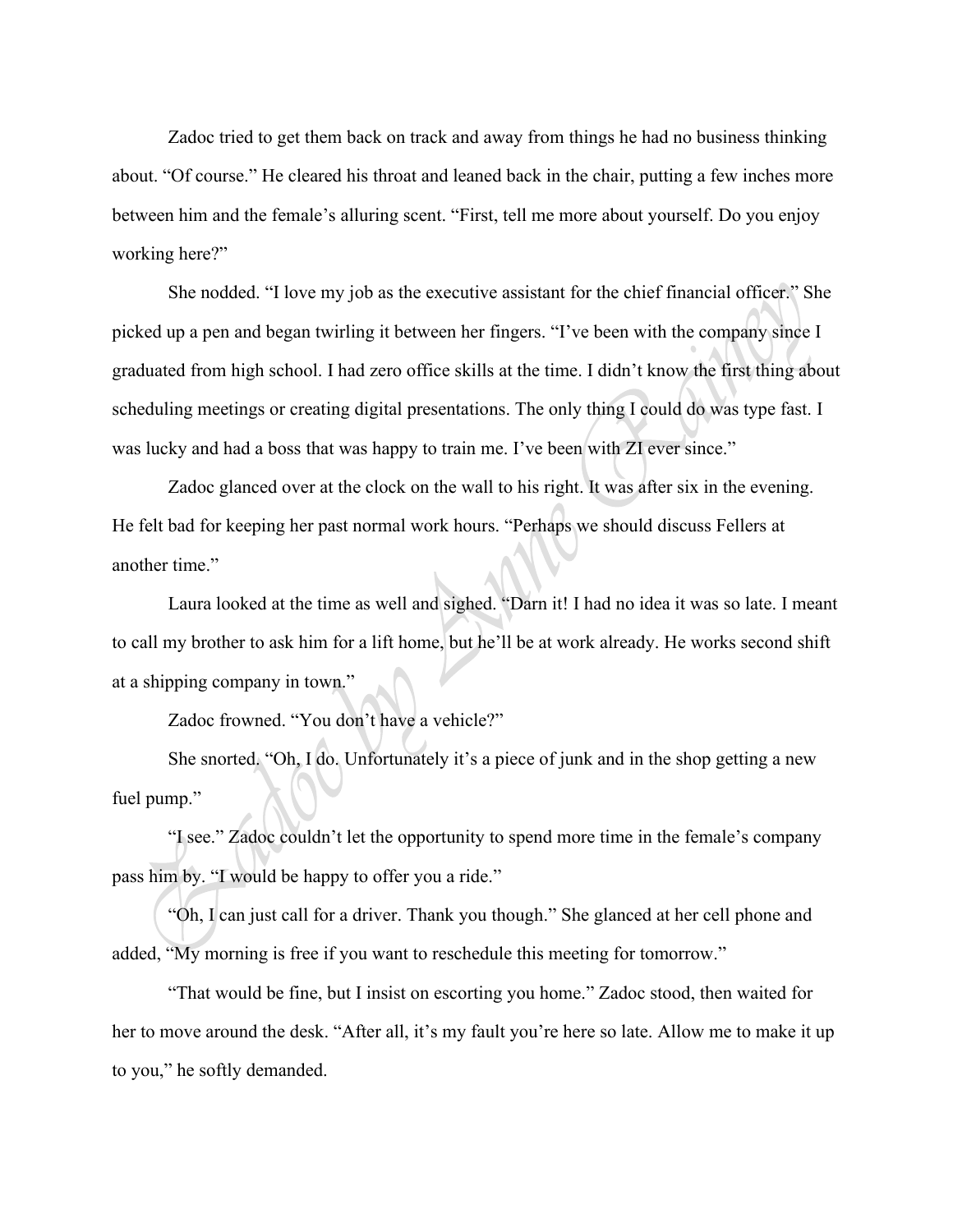Zadoc tried to get them back on track and away from things he had no business thinking about. "Of course." He cleared his throat and leaned back in the chair, putting a few inches more between him and the female's alluring scent. "First, tell me more about yourself. Do you enjoy working here?"

She nodded. "I love my job as the executive assistant for the chief financial officer." She picked up a pen and began twirling it between her fingers. "I've been with the company since I graduated from high school. I had zero office skills at the time. I didn't know the first thing about scheduling meetings or creating digital presentations. The only thing I could do was type fast. I was lucky and had a boss that was happy to train me. I've been with ZI ever since."

Zadoc glanced over at the clock on the wall to his right. It was after six in the evening. He felt bad for keeping her past normal work hours. "Perhaps we should discuss Fellers at another time."

Laura looked at the time as well and sighed. "Darn it! I had no idea it was so late. I meant to call my brother to ask him for a lift home, but he'll be at work already. He works second shift at a shipping company in town."

Zadoc frowned. "You don't have a vehicle?"

She snorted. "Oh, I do. Unfortunately it's a piece of junk and in the shop getting a new fuel pump."

"I see." Zadoc couldn't let the opportunity to spend more time in the female's company pass him by. "I would be happy to offer you a ride."

"Oh, I can just call for a driver. Thank you though." She glanced at her cell phone and added, "My morning is free if you want to reschedule this meeting for tomorrow."

"That would be fine, but I insist on escorting you home." Zadoc stood, then waited for her to move around the desk. "After all, it's my fault you're here so late. Allow me to make it up to you," he softly demanded.